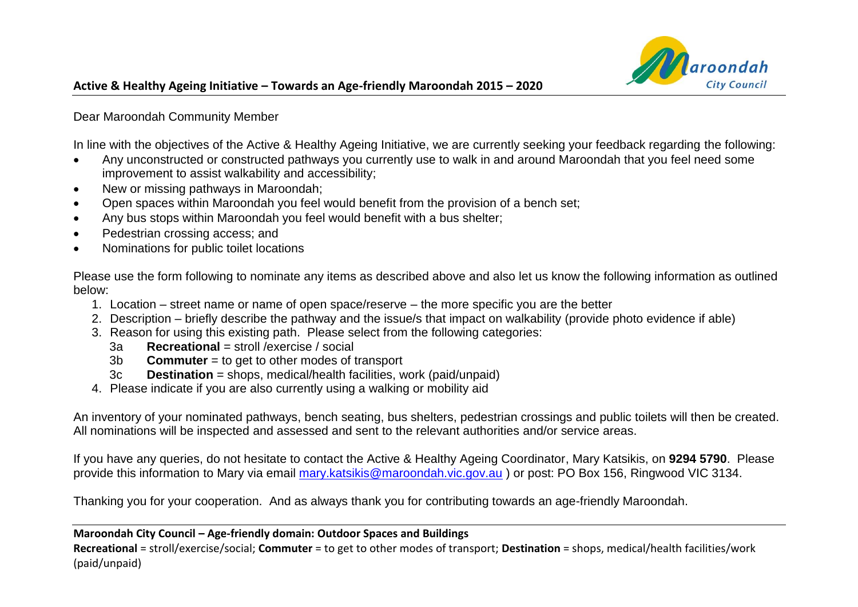

Dear Maroondah Community Member

In line with the objectives of the Active & Healthy Ageing Initiative, we are currently seeking your feedback regarding the following:

- Any unconstructed or constructed pathways you currently use to walk in and around Maroondah that you feel need some improvement to assist walkability and accessibility;
- New or missing pathways in Maroondah;
- Open spaces within Maroondah you feel would benefit from the provision of a bench set;
- Any bus stops within Maroondah you feel would benefit with a bus shelter;
- Pedestrian crossing access; and
- Nominations for public toilet locations

Please use the form following to nominate any items as described above and also let us know the following information as outlined below:

- 1. Location street name or name of open space/reserve the more specific you are the better
- 2. Description briefly describe the pathway and the issue/s that impact on walkability (provide photo evidence if able)
- 3. Reason for using this existing path. Please select from the following categories:
	- 3a **Recreational** = stroll /exercise / social
	- 3b **Commuter** = to get to other modes of transport
	- 3c **Destination** = shops, medical/health facilities, work (paid/unpaid)
- 4. Please indicate if you are also currently using a walking or mobility aid

An inventory of your nominated pathways, bench seating, bus shelters, pedestrian crossings and public toilets will then be created. All nominations will be inspected and assessed and sent to the relevant authorities and/or service areas.

If you have any queries, do not hesitate to contact the Active & Healthy Ageing Coordinator, Mary Katsikis, on **9294 5790**. Please provide this information to Mary via email [mary.katsikis@maroondah.vic.gov.au](mailto:mary.katsikis@maroondah.vic.gov.au) ) or post: PO Box 156, Ringwood VIC 3134.

Thanking you for your cooperation. And as always thank you for contributing towards an age-friendly Maroondah.

## **Maroondah City Council – Age-friendly domain: Outdoor Spaces and Buildings**

**Recreational** = stroll/exercise/social; **Commuter** = to get to other modes of transport; **Destination** = shops, medical/health facilities/work (paid/unpaid)